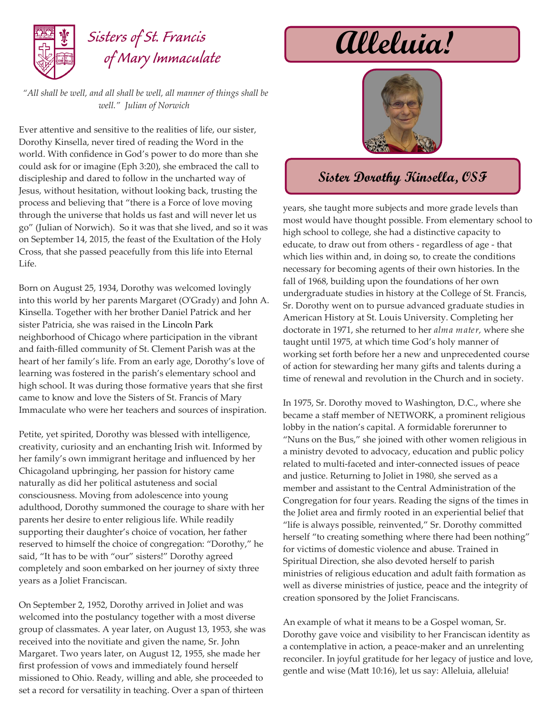

## *Sisters of St. Francis of Mary Immaculate*

*"All shall be well, and all shall be well, all manner of things shall be well." Julian of Norwich*

Ever attentive and sensitive to the realities of life, our sister, Dorothy Kinsella, never tired of reading the Word in the world. With confidence in God's power to do more than she could ask for or imagine (Eph 3:20), she embraced the call to discipleship and dared to follow in the uncharted way of Jesus, without hesitation, without looking back, trusting the process and believing that "there is a Force of love moving through the universe that holds us fast and will never let us go" (Julian of Norwich). So it was that she lived, and so it was on September 14, 2015, the feast of the Exultation of the Holy Cross, that she passed peacefully from this life into Eternal Life.

Born on August 25, 1934, Dorothy was welcomed lovingly into this world by her parents Margaret (O'Grady) and John A. Kinsella. Together with her brother Daniel Patrick and her sister Patricia, she was raised in the Lincoln Park neighborhood of Chicago where participation in the vibrant and faith-filled community of St. Clement Parish was at the heart of her family's life. From an early age, Dorothy's love of learning was fostered in the parish's elementary school and high school. It was during those formative years that she first came to know and love the Sisters of St. Francis of Mary Immaculate who were her teachers and sources of inspiration.

Petite, yet spirited, Dorothy was blessed with intelligence, creativity, curiosity and an enchanting Irish wit. Informed by her family's own immigrant heritage and influenced by her Chicagoland upbringing, her passion for history came naturally as did her political astuteness and social consciousness. Moving from adolescence into young adulthood, Dorothy summoned the courage to share with her parents her desire to enter religious life. While readily supporting their daughter's choice of vocation, her father reserved to himself the choice of congregation: "Dorothy," he said, "It has to be with "our" sisters!" Dorothy agreed completely and soon embarked on her journey of sixty three years as a Joliet Franciscan.

On September 2, 1952, Dorothy arrived in Joliet and was welcomed into the postulancy together with a most diverse group of classmates. A year later, on August 13, 1953, she was received into the novitiate and given the name, Sr. John Margaret. Two years later, on August 12, 1955, she made her first profession of vows and immediately found herself missioned to Ohio. Ready, willing and able, she proceeded to set a record for versatility in teaching. Over a span of thirteen

## **Alleluia!**



## **Sister Dorothy Kinsella, OSF**

years, she taught more subjects and more grade levels than most would have thought possible. From elementary school to high school to college, she had a distinctive capacity to educate, to draw out from others - regardless of age - that which lies within and, in doing so, to create the conditions necessary for becoming agents of their own histories. In the fall of 1968, building upon the foundations of her own undergraduate studies in history at the College of St. Francis, Sr. Dorothy went on to pursue advanced graduate studies in American History at St. Louis University. Completing her doctorate in 1971, she returned to her *alma mater,* where she taught until 1975, at which time God's holy manner of working set forth before her a new and unprecedented course of action for stewarding her many gifts and talents during a time of renewal and revolution in the Church and in society.

In 1975, Sr. Dorothy moved to Washington, D.C., where she became a staff member of NETWORK, a prominent religious lobby in the nation's capital. A formidable forerunner to "Nuns on the Bus," she joined with other women religious in a ministry devoted to advocacy, education and public policy related to multi-faceted and inter-connected issues of peace and justice. Returning to Joliet in 1980, she served as a member and assistant to the Central Administration of the Congregation for four years. Reading the signs of the times in the Joliet area and firmly rooted in an experiential belief that "life is always possible, reinvented," Sr. Dorothy committed herself "to creating something where there had been nothing" for victims of domestic violence and abuse. Trained in Spiritual Direction, she also devoted herself to parish ministries of religious education and adult faith formation as well as diverse ministries of justice, peace and the integrity of creation sponsored by the Joliet Franciscans.

An example of what it means to be a Gospel woman, Sr. Dorothy gave voice and visibility to her Franciscan identity as a contemplative in action, a peace-maker and an unrelenting reconciler. In joyful gratitude for her legacy of justice and love, gentle and wise (Matt 10:16), let us say: Alleluia, alleluia!